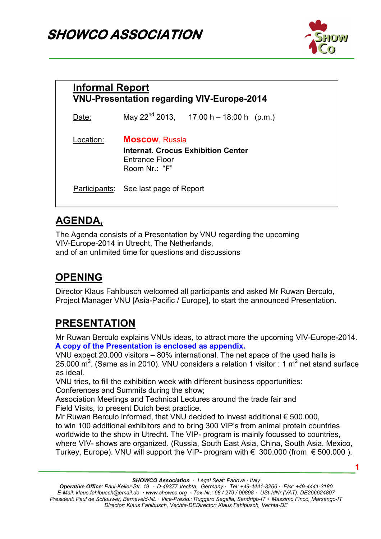# **SHOWCO ASSOCIATION**



| <b>Informal Report</b> |                                                                                                        | <b>VNU-Presentation regarding VIV-Europe-2014</b> |  |
|------------------------|--------------------------------------------------------------------------------------------------------|---------------------------------------------------|--|
| Date:                  |                                                                                                        | May $22^{nd}$ 2013, 17:00 h – 18:00 h (p.m.)      |  |
| Location:              | <b>Moscow, Russia</b><br><b>Internat. Crocus Exhibition Center</b><br>Entrance Floor<br>Room $Nr: "F"$ |                                                   |  |
|                        | <b>Participants:</b> See last page of Report                                                           |                                                   |  |

#### **AGENDA,**

The Agenda consists of a Presentation by VNU regarding the upcoming VIV-Europe-2014 in Utrecht, The Netherlands, and of an unlimited time for questions and discussions

## **OPENING**

Director Klaus Fahlbusch welcomed all participants and asked Mr Ruwan Berculo, Project Manager VNU [Asia-Pacific / Europe], to start the announced Presentation.

### **PRESENTATION**

Mr Ruwan Berculo explains VNUs ideas, to attract more the upcoming VIV-Europe-2014. **A copy of the Presentation is enclosed as appendix.** 

VNU expect 20.000 visitors – 80% international. The net space of the used halls is 25.000 m<sup>2</sup>. (Same as in 2010). VNU considers a relation 1 visitor : 1 m<sup>2</sup> net stand surface as ideal.

VNU tries, to fill the exhibition week with different business opportunities: Conferences and Summits during the show;

Association Meetings and Technical Lectures around the trade fair and Field Visits, to present Dutch best practice.

Mr Ruwan Berculo informed, that VNU decided to invest additional € 500.000, to win 100 additional exhibitors and to bring 300 VIP's from animal protein countries worldwide to the show in Utrecht. The VIP- program is mainly focussed to countries, where VIV- shows are organized. (Russia, South East Asia, China, South Asia, Mexico, Turkey, Europe). VNU will support the VIP- program with  $\epsilon$  300.000 (from  $\epsilon$  500.000).

*SHOWCO Association · Legal Seat: Padova · Italy* 

*Operative Office: Paul-Keller-Str. 19 · D-49377 Vechta, Germany · Tel: +49-4441-3266 · Fax: +49-4441-3180 E-Mail: klaus.fahlbusch@email.de · www.showco.org · Tax-Nr.: 68 / 279 / 00898 · USt-IdNr.(VAT): DE266624897 President: Paul de Schouwer, Barneveld-NL · Vice-Presid.: Ruggero Segalla, Sandrigo-IT + Massimo Finco, Marsango-IT Director: Klaus Fahlbusch, Vechta-DEDirector: Klaus Fahlbusch, Vechta-DE*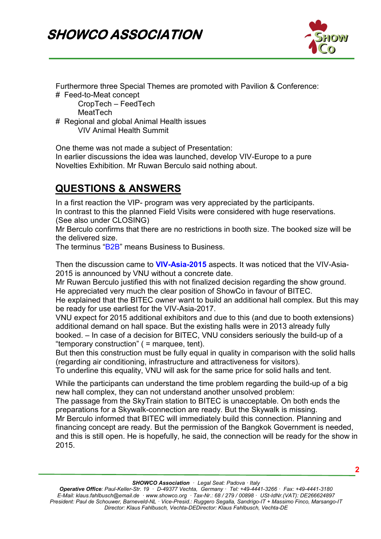

Furthermore three Special Themes are promoted with Pavilion & Conference:

# Feed-to-Meat concept

 CropTech – FeedTech MeatTech

# Regional and global Animal Health issues VIV Animal Health Summit

One theme was not made a subject of Presentation:

In earlier discussions the idea was launched, develop VIV-Europe to a pure Novelties Exhibition. Mr Ruwan Berculo said nothing about.

# **QUESTIONS & ANSWERS**

In a first reaction the VIP- program was very appreciated by the participants. In contrast to this the planned Field Visits were considered with huge reservations. (See also under CLOSING)

Mr Berculo confirms that there are no restrictions in booth size. The booked size will be the delivered size.

The terminus "B2B" means Business to Business.

Then the discussion came to **VIV-Asia-2015** aspects. It was noticed that the VIV-Asia-2015 is announced by VNU without a concrete date.

Mr Ruwan Berculo justified this with not finalized decision regarding the show ground. He appreciated very much the clear position of ShowCo in favour of BITEC.

He explained that the BITEC owner want to build an additional hall complex. But this may be ready for use earliest for the VIV-Asia-2017.

VNU expect for 2015 additional exhibitors and due to this (and due to booth extensions) additional demand on hall space. But the existing halls were in 2013 already fully booked. – In case of a decision for BITEC, VNU considers seriously the build-up of a "temporary construction" ( = marquee, tent).

But then this construction must be fully equal in quality in comparison with the solid halls (regarding air conditioning, infrastructure and attractiveness for visitors).

To underline this equality, VNU will ask for the same price for solid halls and tent.

While the participants can understand the time problem regarding the build-up of a big new hall complex, they can not understand another unsolved problem:

The passage from the SkyTrain station to BITEC is unacceptable. On both ends the preparations for a Skywalk-connection are ready. But the Skywalk is missing. Mr Berculo informed that BITEC will immediately build this connection. Planning and financing concept are ready. But the permission of the Bangkok Government is needed, and this is still open. He is hopefully, he said, the connection will be ready for the show in 2015.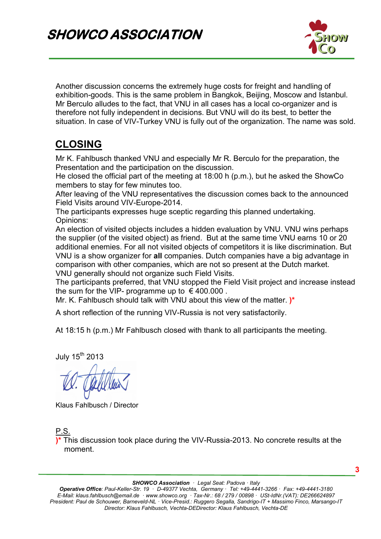

Another discussion concerns the extremely huge costs for freight and handling of exhibition-goods. This is the same problem in Bangkok, Beijing, Moscow and Istanbul. Mr Berculo alludes to the fact, that VNU in all cases has a local co-organizer and is therefore not fully independent in decisions. But VNU will do its best, to better the situation. In case of VIV-Turkey VNU is fully out of the organization. The name was sold.

#### **CLOSING**

Mr K. Fahlbusch thanked VNU and especially Mr R. Berculo for the preparation, the Presentation and the participation on the discussion.

He closed the official part of the meeting at 18:00 h (p.m.), but he asked the ShowCo members to stay for few minutes too.

After leaving of the VNU representatives the discussion comes back to the announced Field Visits around VIV-Europe-2014.

The participants expresses huge sceptic regarding this planned undertaking. Opinions:

An election of visited objects includes a hidden evaluation by VNU. VNU wins perhaps the supplier (of the visited object) as friend. But at the same time VNU earns 10 or 20 additional enemies. For all not visited objects of competitors it is like discrimination. But VNU is a show organizer for **all** companies. Dutch companies have a big advantage in comparison with other companies, which are not so present at the Dutch market. VNU generally should not organize such Field Visits.

The participants preferred, that VNU stopped the Field Visit project and increase instead the sum for the VIP- programme up to  $\epsilon$  400.000.

Mr. K. Fahlbusch should talk with VNU about this view of the matter. **)\***

A short reflection of the running VIV-Russia is not very satisfactorily.

At 18:15 h (p.m.) Mr Fahlbusch closed with thank to all participants the meeting.

July  $15<sup>th</sup>$  2013

Klaus Fahlbusch / Director

<u>P.S.</u>

**)\*** This discussion took place during the VIV-Russia-2013. No concrete results at the moment.

*SHOWCO Association · Legal Seat: Padova · Italy* 

*Operative Office: Paul-Keller-Str. 19 · D-49377 Vechta, Germany · Tel: +49-4441-3266 · Fax: +49-4441-3180 E-Mail: klaus.fahlbusch@email.de · www.showco.org · Tax-Nr.: 68 / 279 / 00898 · USt-IdNr.(VAT): DE266624897 President: Paul de Schouwer, Barneveld-NL · Vice-Presid.: Ruggero Segalla, Sandrigo-IT + Massimo Finco, Marsango-IT Director: Klaus Fahlbusch, Vechta-DEDirector: Klaus Fahlbusch, Vechta-DE*